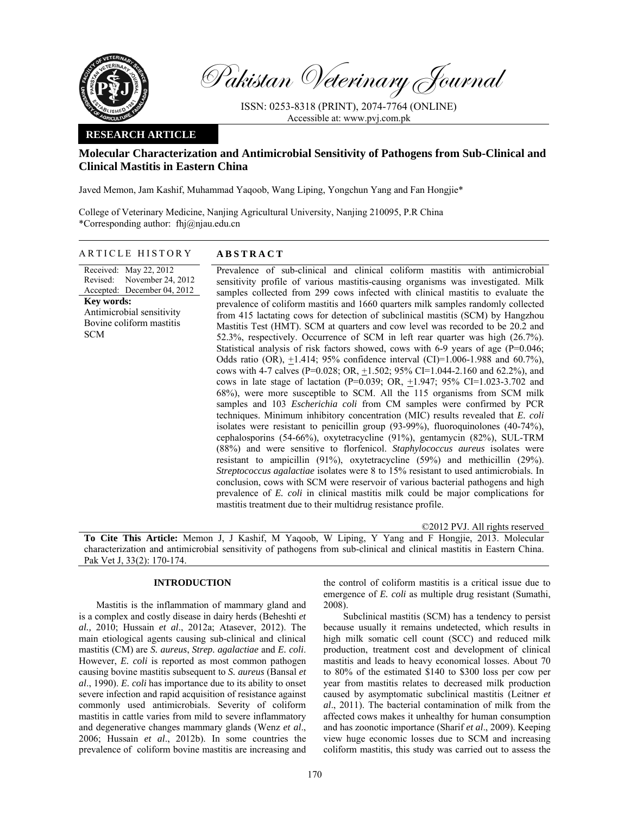

Pakistan Veterinary Journal

ISSN: 0253-8318 (PRINT), 2074-7764 (ONLINE) Accessible at: www.pvj.com.pk

## **RESEARCH ARTICLE**

# **Molecular Characterization and Antimicrobial Sensitivity of Pathogens from Sub-Clinical and Clinical Mastitis in Eastern China**

Javed Memon, Jam Kashif, Muhammad Yaqoob, Wang Liping, Yongchun Yang and Fan Hongjie\*

College of Veterinary Medicine, Nanjing Agricultural University, Nanjing 210095, P.R China \*Corresponding author: fhj@njau.edu.cn

ARTICLE HISTORY **ABSTRACT** 

Received: May 22, 2012 Revised: Accepted: December 04, 2012 November 24, 2012 **Key words:**  Antimicrobial sensitivity Bovine coliform mastitis **SCM** 

 Prevalence of sub-clinical and clinical coliform mastitis with antimicrobial sensitivity profile of various mastitis-causing organisms was investigated. Milk samples collected from 299 cows infected with clinical mastitis to evaluate the prevalence of coliform mastitis and 1660 quarters milk samples randomly collected from 415 lactating cows for detection of subclinical mastitis (SCM) by Hangzhou Mastitis Test (HMT). SCM at quarters and cow level was recorded to be 20.2 and 52.3%, respectively. Occurrence of SCM in left rear quarter was high (26.7%). Statistical analysis of risk factors showed, cows with 6-9 years of age (P=0.046; Odds ratio (OR),  $\pm$ 1.414; 95% confidence interval (CI)=1.006-1.988 and 60.7%), cows with 4-7 calves (P=0.028; OR,  $\pm$ 1.502; 95% CI=1.044-2.160 and 62.2%), and cows in late stage of lactation (P=0.039; OR,  $\pm$ 1.947; 95% CI=1.023-3.702 and 68%), were more susceptible to SCM. All the 115 organisms from SCM milk samples and 103 *Escherichia coli* from CM samples were confirmed by PCR techniques. Minimum inhibitory concentration (MIC) results revealed that *E. coli*  isolates were resistant to penicillin group (93-99%), fluoroquinolones (40-74%), cephalosporins (54-66%), oxytetracycline (91%), gentamycin (82%), SUL-TRM (88%) and were sensitive to florfenicol. *Staphylococcus aureus* isolates were resistant to ampicillin (91%), oxytetracycline (59%) and methicillin (29%). *Streptococcus agalactiae* isolates were 8 to 15% resistant to used antimicrobials. In conclusion, cows with SCM were reservoir of various bacterial pathogens and high prevalence of *E. coli* in clinical mastitis milk could be major complications for mastitis treatment due to their multidrug resistance profile.

©2012 PVJ. All rights reserved **To Cite This Article:** Memon J, J Kashif, M Yaqoob, W Liping, Y Yang and F Hongjie, 2013. Molecular characterization and antimicrobial sensitivity of pathogens from sub-clinical and clinical mastitis in Eastern China. Pak Vet J, 33(2): 170-174.

## **INTRODUCTION**

Mastitis is the inflammation of mammary gland and is a complex and costly disease in dairy herds (Beheshti *et al.,* 2010; Hussain *et al*., 2012a; Atasever, 2012). The main etiological agents causing sub-clinical and clinical mastitis (CM) are *S. aureus*, *Strep. agalactiae* and *E. coli*. However, *E. coli* is reported as most common pathogen causing bovine mastitis subsequent to *S. aureus* (Bansal *et al*., 1990). *E. coli* has importance due to its ability to onset severe infection and rapid acquisition of resistance against commonly used antimicrobials. Severity of coliform mastitis in cattle varies from mild to severe inflammatory and degenerative changes mammary glands (Wenz *et al*., 2006; Hussain *et al*., 2012b). In some countries the prevalence of coliform bovine mastitis are increasing and

the control of coliform mastitis is a critical issue due to emergence of *E. coli* as multiple drug resistant (Sumathi, 2008).

 Subclinical mastitis (SCM) has a tendency to persist because usually it remains undetected, which results in high milk somatic cell count (SCC) and reduced milk production, treatment cost and development of clinical mastitis and leads to heavy economical losses. About 70 to 80% of the estimated \$140 to \$300 loss per cow per year from mastitis relates to decreased milk production caused by asymptomatic subclinical mastitis (Leitner *et al*., 2011). The bacterial contamination of milk from the affected cows makes it unhealthy for human consumption and has zoonotic importance (Sharif *et al*., 2009). Keeping view huge economic losses due to SCM and increasing coliform mastitis, this study was carried out to assess the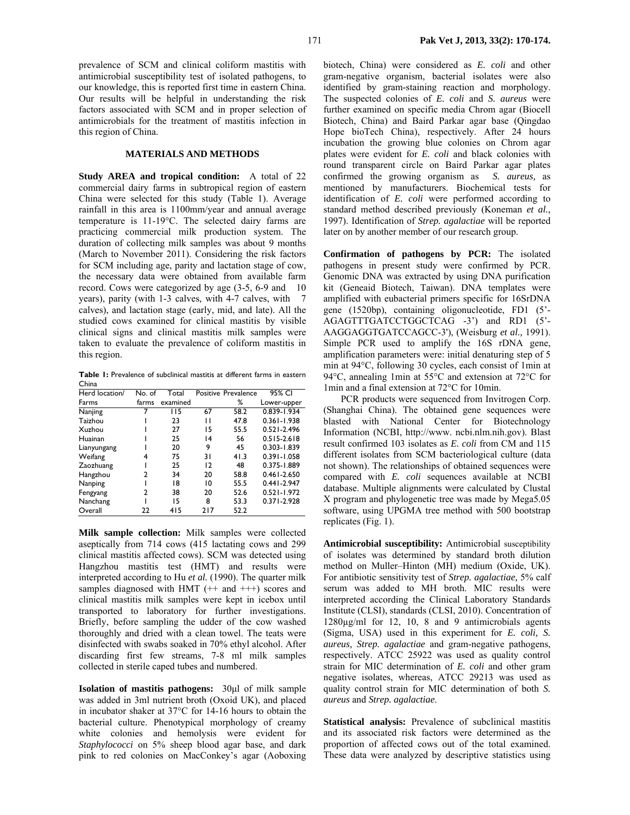prevalence of SCM and clinical coliform mastitis with antimicrobial susceptibility test of isolated pathogens, to our knowledge, this is reported first time in eastern China. Our results will be helpful in understanding the risk factors associated with SCM and in proper selection of antimicrobials for the treatment of mastitis infection in this region of China.

## **MATERIALS AND METHODS**

**Study AREA and tropical condition:** A total of 22 commercial dairy farms in subtropical region of eastern China were selected for this study (Table 1). Average rainfall in this area is 1100mm/year and annual average temperature is 11-19°C. The selected dairy farms are practicing commercial milk production system. The duration of collecting milk samples was about 9 months (March to November 2011). Considering the risk factors for SCM including age, parity and lactation stage of cow, the necessary data were obtained from available farm record. Cows were categorized by age (3-5, 6-9 and 10 years), parity (with 1-3 calves, with 4-7 calves, with 7 calves), and lactation stage (early, mid, and late). All the studied cows examined for clinical mastitis by visible clinical signs and clinical mastitis milk samples were taken to evaluate the prevalence of coliform mastitis in this region.

**Table 1:** Prevalence of subclinical mastitis at different farms in eastern China

| Herd location/ | No. of | Total    |                 | Positive Prevalence | 95% CI          |  |
|----------------|--------|----------|-----------------|---------------------|-----------------|--|
| Farms          | farms  | examined |                 | %                   | Lower-upper     |  |
| Nanjing        |        | 115      | 67              | 58.2                | 0.839-1.934     |  |
| Taizhou        |        | 23       | п               | 47.8                | $0.361 - 1.938$ |  |
| Xuzhou         |        | 27       | 15              | 55.5                | $0.521 - 2.496$ |  |
| Huainan        |        | 25       | $\overline{14}$ | 56                  | $0.515 - 2.618$ |  |
| Lianyungang    |        | 20       | 9               | 45                  | $0.303 - 1.839$ |  |
| Weifang        | 4      | 75       | 31              | 41.3                | $0.391 - 1.058$ |  |
| Zaozhuang      |        | 25       | 12              | 48                  | 0.375-1.889     |  |
| Hangzhou       | 2      | 34       | 20              | 58.8                | $0.461 - 2.650$ |  |
| Nanping        |        | 18       | 10              | 55.5                | $0.441 - 2.947$ |  |
| Fengyang       | 2      | 38       | 20              | 52.6                | $0.521 - 1.972$ |  |
| Nanchang       |        | 15       | 8               | 53.3                | $0.371 - 2.928$ |  |
| Overall        | 22     | 415      | 217             | 52.2                |                 |  |

**Milk sample collection:** Milk samples were collected aseptically from 714 cows (415 lactating cows and 299 clinical mastitis affected cows). SCM was detected using Hangzhou mastitis test (HMT) and results were interpreted according to Hu *et al.* (1990). The quarter milk samples diagnosed with HMT  $(+$  and  $++$ ) scores and clinical mastitis milk samples were kept in icebox until transported to laboratory for further investigations. Briefly, before sampling the udder of the cow washed thoroughly and dried with a clean towel. The teats were disinfected with swabs soaked in 70% ethyl alcohol. After discarding first few streams, 7-8 ml milk samples collected in sterile caped tubes and numbered.

**Isolation of mastitis pathogens:** 30µl of milk sample was added in 3ml nutrient broth (Oxoid UK), and placed in incubator shaker at 37°C for 14-16 hours to obtain the bacterial culture. Phenotypical morphology of creamy white colonies and hemolysis were evident for *Staphylococci* on 5% sheep blood agar base, and dark pink to red colonies on MacConkey's agar (Aoboxing biotech, China) were considered as *E. coli* and other gram-negative organism, bacterial isolates were also identified by gram-staining reaction and morphology. The suspected colonies of *E. coli* and *S. aureus* were further examined on specific media Chrom agar (Biocell Biotech, China) and Baird Parkar agar base (Qingdao Hope bioTech China), respectively. After 24 hours incubation the growing blue colonies on Chrom agar plates were evident for *E. coli* and black colonies with round transparent circle on Baird Parkar agar plates confirmed the growing organism as *S. aureus,* as mentioned by manufacturers. Biochemical tests for identification of *E. coli* were performed according to standard method described previously (Koneman *et al.,* 1997). Identification of *Strep. agalactiae* will be reported later on by another member of our research group.

**Confirmation of pathogens by PCR:** The isolated pathogens in present study were confirmed by PCR. Genomic DNA was extracted by using DNA purification kit (Geneaid Biotech, Taiwan). DNA templates were amplified with eubacterial primers specific for 16SrDNA gene (1520bp), containing oligonucleotide, FD1 (5'- AGAGTTTGATCCTGGCTCAG -3') and RD1 (5'- AAGGAGGTGATCCAGCC-3'), (Weisburg *et al.,* 1991). Simple PCR used to amplify the 16S rDNA gene, amplification parameters were: initial denaturing step of 5 min at 94°C, following 30 cycles, each consist of 1min at 94°C, annealing 1min at 55°C and extension at 72°C for 1min and a final extension at 72°C for 10min.

PCR products were sequenced from Invitrogen Corp. (Shanghai China). The obtained gene sequences were blasted with National Center for Biotechnology Information (NCBI, http://www. ncbi.nlm.nih.gov). Blast result confirmed 103 isolates as *E. coli* from CM and 115 different isolates from SCM bacteriological culture (data not shown). The relationships of obtained sequences were compared with *E. coli* sequences available at NCBI database. Multiple alignments were calculated by Clustal X program and phylogenetic tree was made by Mega5.05 software, using UPGMA tree method with 500 bootstrap replicates (Fig. 1).

**Antimicrobial susceptibility:** Antimicrobial susceptibility of isolates was determined by standard broth dilution method on Muller–Hinton (MH) medium (Oxide, UK). For antibiotic sensitivity test of *Strep. agalactiae,* 5% calf serum was added to MH broth. MIC results were interpreted according the Clinical Laboratory Standards Institute (CLSI), standards (CLSI, 2010). Concentration of 1280µg/ml for 12, 10, 8 and 9 antimicrobials agents (Sigma, USA) used in this experiment for *E. coli, S. aureus, Strep. agalactiae* and gram-negative pathogens, respectively. ATCC 25922 was used as quality control strain for MIC determination of *E. coli* and other gram negative isolates, whereas, ATCC 29213 was used as quality control strain for MIC determination of both *S. aureus* and *Strep. agalactiae*.

**Statistical analysis:** Prevalence of subclinical mastitis and its associated risk factors were determined as the proportion of affected cows out of the total examined. These data were analyzed by descriptive statistics using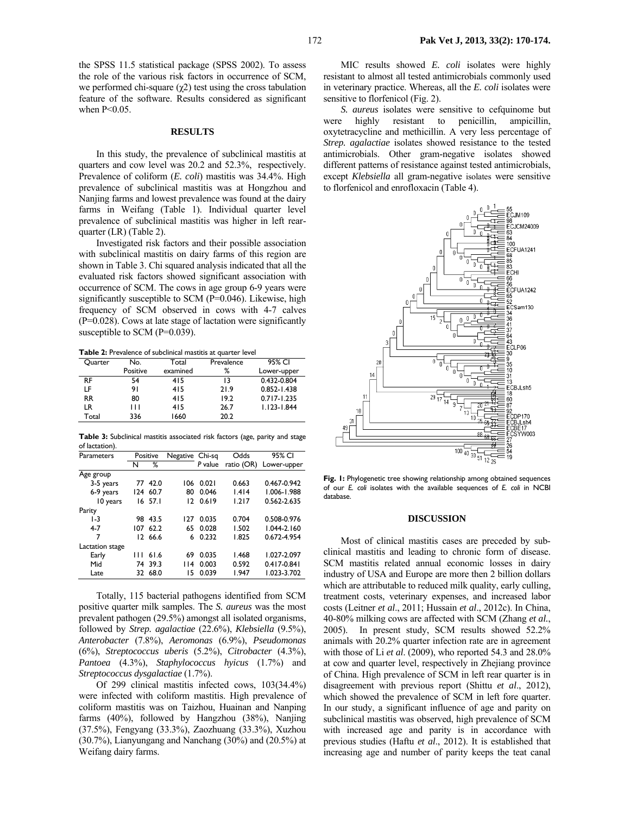the SPSS 11.5 statistical package (SPSS 2002). To assess the role of the various risk factors in occurrence of SCM, we performed chi-square  $(\gamma 2)$  test using the cross tabulation feature of the software. Results considered as significant when  $P<0.05$ .

### **RESULTS**

In this study, the prevalence of subclinical mastitis at quarters and cow level was 20.2 and 52.3%, respectively. Prevalence of coliform (*E. coli*) mastitis was 34.4%. High prevalence of subclinical mastitis was at Hongzhou and Nanjing farms and lowest prevalence was found at the dairy farms in Weifang (Table 1). Individual quarter level prevalence of subclinical mastitis was higher in left rearquarter (LR) (Table 2).

Investigated risk factors and their possible association with subclinical mastitis on dairy farms of this region are shown in Table 3. Chi squared analysis indicated that all the evaluated risk factors showed significant association with occurrence of SCM. The cows in age group 6-9 years were significantly susceptible to SCM (P=0.046). Likewise, high frequency of SCM observed in cows with 4-7 calves (P=0.028). Cows at late stage of lactation were significantly susceptible to SCM (P=0.039).

**Table 2:** Prevalence of subclinical mastitis at quarter level

| Quarter   | No.      | Total    | Prevalence | 95% CI          |
|-----------|----------|----------|------------|-----------------|
|           | Positive | examined | %          | Lower-upper     |
| RF        | 54       | 415      | 13         | 0.432-0.804     |
| LF        | 91       | 415      | 21.9       | $0.852 - 1.438$ |
| <b>RR</b> | 80       | 415      | 19.2       | $0.717 - 1.235$ |
| LR        | Ш        | 415      | 26.7       | $1.123 - 1.844$ |
| Total     | 336      | 1660     | 20.2       |                 |

**Table 3:** Subclinical mastitis associated risk factors (age, parity and stage of lactation).

| Parameters      | Positive |           | Negative Chi-sq |         | Odds       | 95% CI          |  |
|-----------------|----------|-----------|-----------------|---------|------------|-----------------|--|
|                 | N        | ℅         |                 | P value | ratio (OR) | Lower-upper     |  |
| Age group       |          |           |                 |         |            |                 |  |
| 3-5 years       |          | 77 42.0   | 106             | 0.021   | 0.663      | 0.467-0.942     |  |
| 6-9 years       | 124      | 60.7      | 80              | 0.046   | 1.414      | 1.006-1.988     |  |
| 10 years        |          | $16$ 57.1 | 12              | 0.619   | 1.217      | 0.562-2.635     |  |
| Parity          |          |           |                 |         |            |                 |  |
| $1-3$           |          | 98 43.5   | 127             | 0.035   | 0.704      | 0.508-0.976     |  |
| $4 - 7$         | 107      | 62.2      | 65              | 0.028   | 1.502      | $1.044 - 2.160$ |  |
| 7               |          | 12 66.6   | 6               | 0.232   | 1.825      | 0.672-4.954     |  |
| Lactation stage |          |           |                 |         |            |                 |  |
| Early           | Ш        | 61.6      | 69              | 0.035   | 1.468      | 1.027-2.097     |  |
| Mid             | 74       | 39.3      | 14              | 0.003   | 0.592      | $0.417 - 0.841$ |  |
| Late            | 32       | 68.0      | 15              | 0.039   | 1.947      | 1.023-3.702     |  |

Totally, 115 bacterial pathogens identified from SCM positive quarter milk samples. The *S. aureus* was the most prevalent pathogen (29.5%) amongst all isolated organisms, followed by *Strep. agalactiae* (22.6%), *Klebsiella* (9.5%), *Anterobacter* (7.8%), *Aeromonas* (6.9%), *Pseudomonas* (6%), *Streptococcus uberis* (5.2%), *Citrobacter* (4.3%), *Pantoea* (4.3%), *Staphylococcus hyicus* (1.7%) and *Streptococcus dysgalactiae* (1.7%).

Of 299 clinical mastitis infected cows, 103(34.4%) were infected with coliform mastitis. High prevalence of coliform mastitis was on Taizhou, Huainan and Nanping farms (40%), followed by Hangzhou (38%), Nanjing (37.5%), Fengyang (33.3%), Zaozhuang (33.3%), Xuzhou (30.7%), Lianyungang and Nanchang (30%) and (20.5%) at Weifang dairy farms.

MIC results showed *E. coli* isolates were highly resistant to almost all tested antimicrobials commonly used in veterinary practice. Whereas, all the *E. coli* isolates were sensitive to florfenicol (Fig. 2).

*S. aureus* isolates were sensitive to cefquinome but were highly resistant to penicillin, ampicillin, oxytetracycline and methicillin. A very less percentage of *Strep. agalactiae* isolates showed resistance to the tested antimicrobials. Other gram-negative isolates showed different patterns of resistance against tested antimicrobials, except *Klebsiella* all gram-negative isolates were sensitive to florfenicol and enrofloxacin (Table 4).



**Fig. 1:** Phylogenetic tree showing relationship among obtained sequences of our *E. coli* isolates with the available sequences of *E. coli* in NCBI database.

#### **DISCUSSION**

Most of clinical mastitis cases are preceded by subclinical mastitis and leading to chronic form of disease. SCM mastitis related annual economic losses in dairy industry of USA and Europe are more then 2 billion dollars which are attributable to reduced milk quality, early culling, treatment costs, veterinary expenses, and increased labor costs (Leitner *et al*., 2011; Hussain *et al*., 2012c). In China, 40-80% milking cows are affected with SCM (Zhang *et al.*, 2005). In present study, SCM results showed 52.2% animals with 20.2% quarter infection rate are in agreement with those of Li *et al*. (2009), who reported 54.3 and 28.0% at cow and quarter level, respectively in Zhejiang province of China. High prevalence of SCM in left rear quarter is in disagreement with previous report (Shittu *et al*., 2012), which showed the prevalence of SCM in left fore quarter. In our study, a significant influence of age and parity on subclinical mastitis was observed, high prevalence of SCM with increased age and parity is in accordance with previous studies (Haftu *et al*., 2012). It is established that increasing age and number of parity keeps the teat canal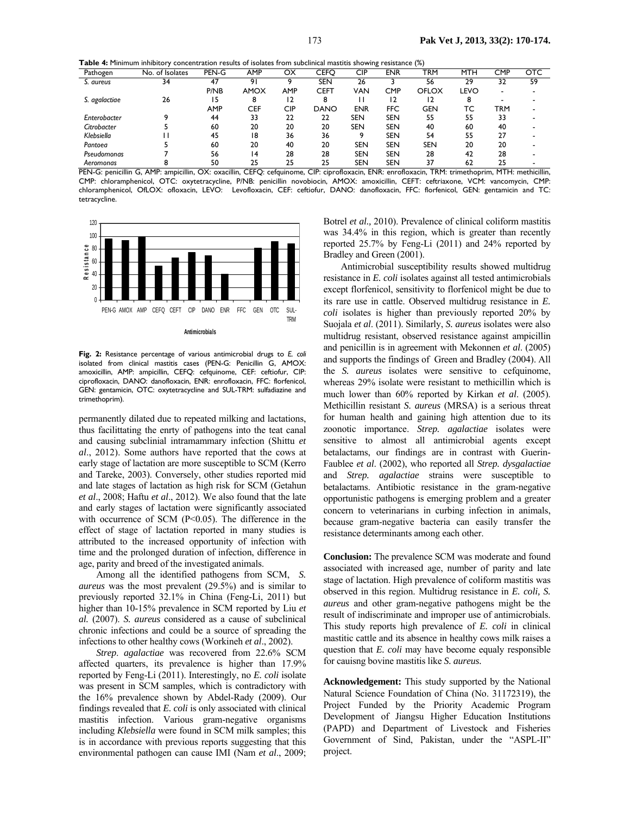**Table 4:** Minimum inhibitory concentration results of isolates from subclinical mastitis showing resistance (%)

| Pathogen      | No. of Isolates | PEN-G      | AMP         | ОX         | CEFC        | $\cdots$<br>CIP | ENR        | <u>.</u><br>TRM | <b>MTH</b> | <b>CMP</b> | <b>OTC</b> |
|---------------|-----------------|------------|-------------|------------|-------------|-----------------|------------|-----------------|------------|------------|------------|
| S. aureus     | 34              | 47         | 9           |            | SEN         | 26              |            | 56              | 29         | 32         | 59         |
|               |                 | P/NB       | <b>AMOX</b> | <b>AMP</b> | CEFT        | VAN             | <b>CMP</b> | <b>OFLOX</b>    | LEVO       | -          |            |
| S. agalactiae | 26              | 15         | 8           | 12         |             |                 | 12         |                 | 8          |            |            |
|               |                 | <b>AMP</b> | <b>CEF</b>  | CIP        | <b>DANO</b> | ENR             | <b>FFC</b> | GEN             | тс         | TRM        |            |
| Enterobacter  |                 | 44         | 33          | 22         | 22          | <b>SEN</b>      | <b>SEN</b> | 55              | 55         | 33         |            |
| Citrobacter   |                 | 60         | 20          | 20         | 20          | <b>SEN</b>      | <b>SEN</b> | 40              | 60         | 40         |            |
| Klebsiella    |                 | 45         | 18          | 36         | 36          |                 | <b>SEN</b> | 54              | 55         | 27         |            |
| Pantoea       |                 | 60         | 20          | 40         | 20          | <b>SEN</b>      | <b>SEN</b> | <b>SEN</b>      | 20         | 20         |            |
| Pseudomonas   |                 | 56         | 14          | 28         | 28          | <b>SEN</b>      | <b>SEN</b> | 28              | 42         | 28         |            |
| Aeromonas     |                 | 50         | 25          | 25         | 25          | <b>SEN</b>      | <b>SEN</b> | 37              | 62         | 25         |            |

PEN-G: penicillin G, AMP: ampicillin, OX: oxacillin, CEFQ: cefquinome, CIP: ciprofloxacin, ENR: enrofloxacin, TRM: trimethoprim, MTH: methicillin, CMP: chloramphenicol, OTC: oxytetracycline, P/NB: penicillin novobiocin, AMOX: amoxicillin, CEFT: ceftriaxone, VCM: vancomycin, CMP: chloramphenicol, OfLOX: ofloxacin, LEVO: Levofloxacin, CEF: ceftiofur, DANO: danofloxacin, FFC: florfenicol, GEN: gentamicin and TC: tetracycline.



**Fig. 2:** Resistance percentage of various antimicrobial drugs to *E. coli* isolated from clinical mastitis cases (PEN-G: Penicillin G, AMOX: amoxicillin, AMP: ampicillin, CEFQ: cefquinome, CEF: ceftiofur, CIP: ciprofloxacin, DANO: danofloxacin, ENR: enrofloxacin, FFC: florfenicol, GEN: gentamicin, OTC: oxytetracycline and SUL-TRM: sulfadiazine and trimethoprim).

permanently dilated due to repeated milking and lactations, thus facilittating the enrty of pathogens into the teat canal and causing subclinial intramammary infection (Shittu *et al*., 2012). Some authors have reported that the cows at early stage of lactation are more susceptible to SCM (Kerro and Tareke, 2003). Conversely, other studies reported mid and late stages of lactation as high risk for SCM (Getahun *et al*., 2008; Haftu *et al*., 2012). We also found that the late and early stages of lactation were significantly associated with occurrence of SCM (P<0.05). The difference in the effect of stage of lactation reported in many studies is attributed to the increased opportunity of infection with time and the prolonged duration of infection, difference in age, parity and breed of the investigated animals.

Among all the identified pathogens from SCM, *S. aureus* was the most prevalent (29.5%) and is similar to previously reported 32.1% in China (Feng-Li, 2011) but higher than 10-15% prevalence in SCM reported by Liu *et al.* (2007). *S. aureus* considered as a cause of subclinical chronic infections and could be a source of spreading the infections to other healthy cows (Workineh *et al*., 2002).

*Strep*. *agalactiae* was recovered from 22.6% SCM affected quarters, its prevalence is higher than 17.9% reported by Feng-Li (2011). Interestingly, no *E. coli* isolate was present in SCM samples, which is contradictory with the 16% prevalence shown by Abdel-Rady (2009). Our findings revealed that *E. coli* is only associated with clinical mastitis infection. Various gram-negative organisms including *Klebsiella* were found in SCM milk samples; this is in accordance with previous reports suggesting that this environmental pathogen can cause IMI (Nam *et al*., 2009;

Botrel *et al.,* 2010). Prevalence of clinical coliform mastitis was 34.4% in this region, which is greater than recently reported 25.7% by Feng-Li (2011) and 24% reported by Bradley and Green (2001).

Antimicrobial susceptibility results showed multidrug resistance in *E. coli* isolates against all tested antimicrobials except florfenicol, sensitivity to florfenicol might be due to its rare use in cattle. Observed multidrug resistance in *E. coli* isolates is higher than previously reported 20% by Suojala *et al*. (2011). Similarly, *S. aureus* isolates were also multidrug resistant, observed resistance against ampicillin and penicillin is in agreement with Mekonnen *et al*. (2005) and supports the findings of Green and Bradley (2004). All the *S. aureus* isolates were sensitive to cefquinome, whereas 29% isolate were resistant to methicillin which is much lower than 60% reported by Kirkan *et al*. (2005). Methicillin resistant *S. aureus* (MRSA) is a serious threat for human health and gaining high attention due to its zoonotic importance. *Strep. agalactiae* isolates were sensitive to almost all antimicrobial agents except betalactams, our findings are in contrast with Guerin-Faublee *et al*. (2002), who reported all *Strep. dysgalactiae* and *Strep. agalactiae* strains were susceptible to betalactams. Antibiotic resistance in the gram-negative opportunistic pathogens is emerging problem and a greater concern to veterinarians in curbing infection in animals, because gram-negative bacteria can easily transfer the resistance determinants among each other.

**Conclusion:** The prevalence SCM was moderate and found associated with increased age, number of parity and late stage of lactation. High prevalence of coliform mastitis was observed in this region. Multidrug resistance in *E. coli, S. aureus* and other gram-negative pathogens might be the result of indiscriminate and improper use of antimicrobials. This study reports high prevalence of *E. coli* in clinical mastitic cattle and its absence in healthy cows milk raises a question that *E. coli* may have become equaly responsible for cauisng bovine mastitis like *S. aureus.*

**Acknowledgement:** This study supported by the National Natural Science Foundation of China (No. 31172319), the Project Funded by the Priority Academic Program Development of Jiangsu Higher Education Institutions (PAPD) and Department of Livestock and Fisheries Government of Sind, Pakistan, under the "ASPL-II" project.